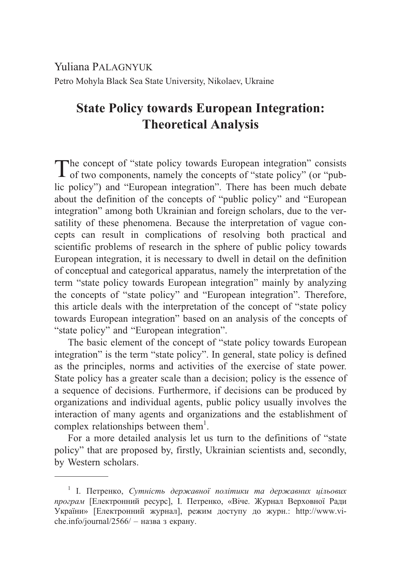Yuliana PALAGNYUK Petro Mohyla Black Sea State University, Nikolaev, Ukraine

## **State Policy towards European Integration: Theoretical Analysis**

The concept of "state policy towards European integration" consists of two components, namely the concepts of "state policy" (or "public policy") and "European integration". There has been much debate about the definition of the concepts of "public policy" and "European integration" among both Ukrainian and foreign scholars, due to the versatility of these phenomena. Because the interpretation of vague concepts can result in complications of resolving both practical and scientific problems of research in the sphere of public policy towards European integration, it is necessary to dwell in detail on the definition of conceptual and categorical apparatus, namely the interpretation of the term "state policy towards European integration" mainly by analyzing the concepts of "state policy" and "European integration". Therefore, this article deals with the interpretation of the concept of "state policy towards European integration" based on an analysis of the concepts of "state policy" and "European integration".

The basic element of the concept of "state policy towards European integration" is the term "state policy". In general, state policy is defined as the principles, norms and activities of the exercise of state power. State policy has a greater scale than a decision; policy is the essence of a sequence of decisions. Furthermore, if decisions can be produced by organizations and individual agents, public policy usually involves the interaction of many agents and organizations and the establishment of complex relationships between them $<sup>1</sup>$ .</sup>

For a more detailed analysis let us turn to the definitions of "state policy" that are proposed by, firstly, Ukrainian scientists and, secondly, by Western scholars.

<sup>&</sup>lt;sup>1</sup> І. Петренко, *Сутність державної політики та державних цільових програм* [Електронний ресурс], І. Петренко, «Віче. Журнал Верховної Ради України» [Електронний журнал], режим доступу до журн.: http://www.viche.info/journal/2566/ – назва з екрану.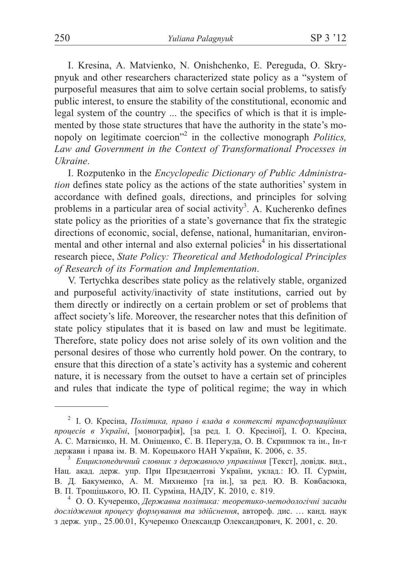I. Kresina, A. Matvienko, N. Onishchenko, E. Pereguda, O. Skrypnyuk and other researchers characterized state policy as a "system of purposeful measures that aim to solve certain social problems, to satisfy public interest, to ensure the stability of the constitutional, economic and legal system of the country ... the specifics of which is that it is implemented by those state structures that have the authority in the state's monopoly on legitimate coercion"<sup>2</sup> in the collective monograph *Politics*. Law and Government in the Context of Transformational Processes in **Ukraine** 

I. Rozputenko in the *Encyclopedic Dictionary of Public Administration* defines state policy as the actions of the state authorities' system in accordance with defined goals, directions, and principles for solving problems in a particular area of social activity<sup>3</sup>. A. Kucherenko defines state policy as the priorities of a state's governance that fix the strategic directions of economic, social, defense, national, humanitarian, environmental and other internal and also external policies<sup>4</sup> in his dissertational research piece, State Policy: Theoretical and Methodological Principles of Research of its Formation and Implementation.

V. Tertychka describes state policy as the relatively stable, organized and purposeful activity/inactivity of state institutions, carried out by them directly or indirectly on a certain problem or set of problems that affect society's life. Moreover, the researcher notes that this definition of state policy stipulates that it is based on law and must be legitimate. Therefore, state policy does not arise solely of its own volition and the personal desires of those who currently hold power. On the contrary, to ensure that this direction of a state's activity has a systemic and coherent nature, it is necessary from the outset to have a certain set of principles and rules that indicate the type of political regime; the way in which

<sup>&</sup>lt;sup>2</sup> І. О. Кресіна, Політика, право і влада в контексті трансформаційних процесів в Україні, [монографія], [за ред. І. О. Кресіної], І. О. Кресіна, А. С. Матвієнко, Н. М. Оніщенко, Є. В. Перегуда, О. В. Скрипнюк та ін., Ін-т держави і права ім. В. М. Корецького НАН України, К. 2006, с. 35.

<sup>&</sup>lt;sup>3</sup> Енциклопедичний словник з державного управління [Текст], довідк. вид., Нац. акад. держ. упр. При Президентові України, уклад.: Ю. П. Сурмін, В. Д. Бакуменко, А. М. Михненко [та ін.], за ред. Ю. В. Ковбасюка, В. П. Трощіцького, Ю. П. Сурміна, НАДУ, К. 2010, с. 819.

<sup>&</sup>lt;sup>4</sup> О. О. Кучеренко, Державна політика: теоретико-методологічні засади дослідження процесу формування та здійснення, автореф. дис.... канд. наук з держ. упр., 25.00.01, Кучеренко Олександр Олександрович, К. 2001, с. 20.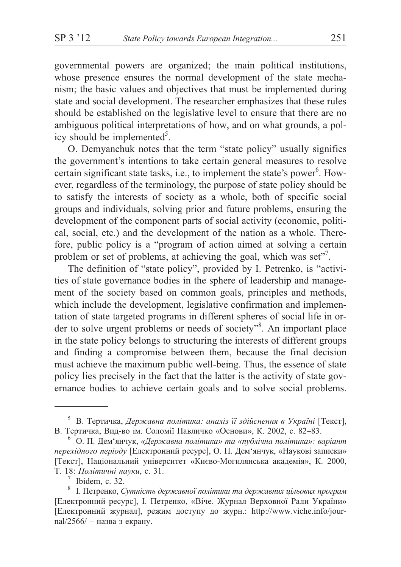governmental powers are organized; the main political institutions, whose presence ensures the normal development of the state mechanism; the basic values and objectives that must be implemented during state and social development. The researcher emphasizes that these rules should be established on the legislative level to ensure that there are no ambiguous political interpretations of how, and on what grounds, a policy should be implemented<sup>5</sup>.

O. Demyanchuk notes that the term "state policy" usually signifies the government's intentions to take certain general measures to resolve certain significant state tasks, i.e., to implement the state's power<sup>6</sup>. However, regardless of the terminology, the purpose of state policy should be to satisfy the interests of society as a whole, both of specific social groups and individuals, solving prior and future problems, ensuring the development of the component parts of social activity (economic, political, social, etc.) and the development of the nation as a whole. Therefore, public policy is a "program of action aimed at solving a certain problem or set of problems, at achieving the goal, which was set".

The definition of "state policy", provided by I. Petrenko, is "activities of state governance bodies in the sphere of leadership and management of the society based on common goals, principles and methods, which include the development, legislative confirmation and implementation of state targeted programs in different spheres of social life in order to solve urgent problems or needs of society"<sup>8</sup>. An important place in the state policy belongs to structuring the interests of different groups and finding a compromise between them, because the final decision must achieve the maximum public well-being. Thus, the essence of state policy lies precisely in the fact that the latter is the activity of state governance bodies to achieve certain goals and to solve social problems.

 $5$  В. Тертичка, Державна політика: аналіз її здійснення в Україні [Текст], В. Тертичка, Вид-во ім. Соломії Павличко «Основи», К. 2002, с. 82-83.

 $6$  О. П. Дем'янчук, «Державна політика» та «публічна політика»: варіант перехідного періоду [Електронний ресурс], О. П. Дем'янчук, «Наукові записки» [Текст], Національний університет «Києво-Могилянська академія», К. 2000, Т. 18: Політичні науки, с. 31.

Ibidem, c. 32.

<sup>&</sup>lt;sup>8</sup> І. Петренко, Сутність державної політики та державних цільових програм [Електронний ресурс], I. Петренко, «Віче. Журнал Верховної Ради України» [Електронний журнал], режим доступу до журн.: http://www.viche.info/journal/2566/ - назва з екрану.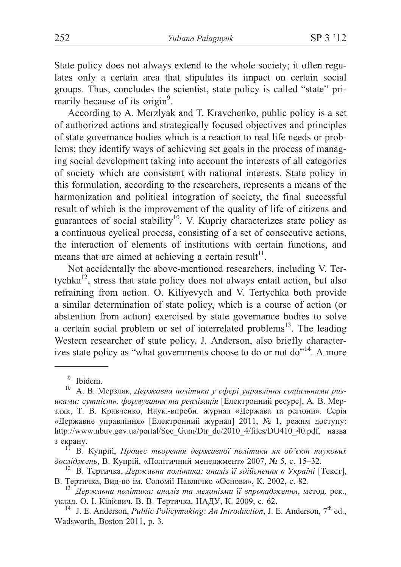State policy does not always extend to the whole society; it often regulates only a certain area that stipulates its impact on certain social groups. Thus, concludes the scientist, state policy is called "state" primarily because of its origin<sup>9</sup>.

According to A. Merzlyak and T. Kravchenko, public policy is a set of authorized actions and strategically focused objectives and principles of state governance bodies which is a reaction to real life needs or problems; they identify ways of achieving set goals in the process of managing social development taking into account the interests of all categories of society which are consistent with national interests. State policy in this formulation, according to the researchers, represents a means of the harmonization and political integration of society, the final successful result of which is the improvement of the quality of life of citizens and guarantees of social stability<sup>10</sup>. V. Kupriy characterizes state policy as a continuous cyclical process, consisting of a set of consecutive actions, the interaction of elements of institutions with certain functions, and means that are aimed at achieving a certain result<sup>11</sup>.

Not accidentally the above-mentioned researchers, including V. Tertychka<sup>12</sup>, stress that state policy does not always entail action, but also refraining from action. O. Kiliyevych and V. Tertychka both provide a similar determination of state policy, which is a course of action (or abstention from action) exercised by state governance bodies to solve a certain social problem or set of interrelated problems<sup>13</sup>. The leading Western researcher of state policy, J. Anderson, also briefly characterizes state policy as "what governments choose to do or not do"<sup>14</sup>. A more

<sup>&</sup>lt;sup>9</sup> Ibidem.<br><sup>10</sup> A. В. Мерзляк, *Державна політика у сфері управління соціальними ризиками: сутність, формування та реалізація* [Електронний ресурс], А. В. Мерзляк, Т. В. Кравченко, Наук.-виробн. журнал «Держава та регіони». Серія «Державне управління» [Електронний журнал] 2011, № 1, режим доступу: http://www.nbuv.gov.ua/portal/Soc\_Gum/Dtr\_du/2010\_4/files/DU410\_40.pdf, назва з екрану.<br><sup>11</sup> В. Купрій, *Процес творення державної політики як об'єкт наукових* 

*досліджень*, В. Купрій, «Політичний менеджмент» 2007, № 5, с. 15–32. <sup>12</sup> В. Тертичка, *Державна політика: аналіз її здійснення в Україні* [Текст],

В. Тертичка, Вид-во ім. Соломії Павличко «Основи», К. 2002, с. 82. <sup>13</sup> *Державна політика: аналіз та механізми її впровадження*, метод. рек.,

уклад. О. І. Кілієвич, В. В. Тертичка, НАДУ, К. 2009, с. 62. <sup>14</sup> J. E. Anderson, *Public Policymaking: An Introduction*, J. E. Anderson, 7<sup>th</sup> ed.,

Wadsworth, Boston 2011, p. 3.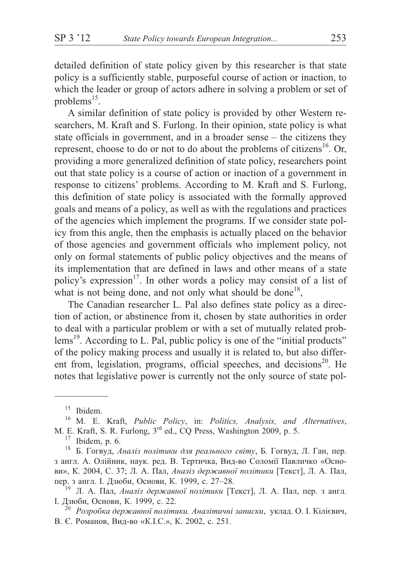detailed definition of state policy given by this researcher is that state policy is a sufficiently stable, purposeful course of action or inaction, to which the leader or group of actors adhere in solving a problem or set of problems $^{15}$ .

A similar definition of state policy is provided by other Western researchers, M. Kraft and S. Furlong. In their opinion, state policy is what state officials in government, and in a broader sense – the citizens they represent, choose to do or not to do about the problems of citizens<sup>16</sup>. Or, providing a more generalized definition of state policy, researchers point out that state policy is a course of action or inaction of a government in response to citizens' problems. According to M. Kraft and S. Furlong, this definition of state policy is associated with the formally approved goals and means of a policy, as well as with the regulations and practices of the agencies which implement the programs. If we consider state policy from this angle, then the emphasis is actually placed on the behavior of those agencies and government officials who implement policy, not only on formal statements of public policy objectives and the means of its implementation that are defined in laws and other means of a state policy's expression<sup>17</sup>. In other words a policy may consist of a list of what is not being done, and not only what should be done<sup>18</sup>,

The Canadian researcher L. Pal also defines state policy as a direction of action, or abstinence from it, chosen by state authorities in order to deal with a particular problem or with a set of mutually related problems<sup>19</sup>. According to L. Pal, public policy is one of the "initial products" of the policy making process and usually it is related to, but also different from, legislation, programs, official speeches, and decisions<sup>20</sup>. He notes that legislative power is currently not the only source of state pol-

<sup>&</sup>lt;sup>15</sup> Ibidem.<br><sup>16</sup> M. E. Kraft, *Public Policy*, in: *Politics, Analysis, and Alternatives*, M. E. Kraft, S. R. Furlong, 3<sup>rd</sup> ed., CQ Press, Washington 2009, p. 5.

<sup>&</sup>lt;sup>17</sup> Ibidem, p. 6.<br><sup>18</sup> Б. Гогвуд, *Аналіз політики для реального світу*, Б. Гогвуд, Л. Ган, пер. з англ. А. Олійник, наук. ред. В. Тертичка, Вид-во Соломії Павличко «Основи», К. 2004, С. 37; Л. А. Пал, *Аналіз державної політики* [Текст], Л. А. Пал, пер. з англ. І. Дзюби, Основи, К. 1999, с. 27–28.<br><sup>19</sup> Л. А. Пал, *Аналіз державної політики* [Текст], Л. А. Пал, пер. з англ.

І. Дзюби, Основи, К. 1999, с. 22.<br><sup>20</sup> *Розробка державної політики. Аналітичні записки*, уклад. О. І. Кілієвич,

В. Є. Романов, Вид-во «К.I.С.», К. 2002, с. 251.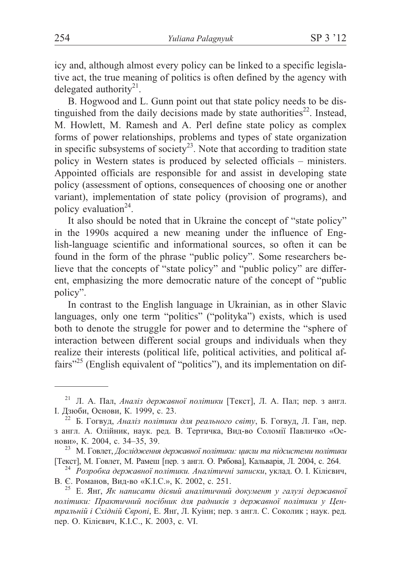icy and, although almost every policy can be linked to a specific legislative act, the true meaning of politics is often defined by the agency with delegated authority $^{21}$ .

B. Hogwood and L. Gunn point out that state policy needs to be distinguished from the daily decisions made by state authorities<sup>22</sup>. Instead, M. Howlett, M. Ramesh and A. Perl define state policy as complex forms of power relationships, problems and types of state organization in specific subsystems of society<sup>23</sup>. Note that according to tradition state policy in Western states is produced by selected officials – ministers. Appointed officials are responsible for and assist in developing state policy (assessment of options, consequences of choosing one or another variant), implementation of state policy (provision of programs), and policy evaluation $24$ .

It also should be noted that in Ukraine the concept of "state policy" in the 1990s acquired a new meaning under the influence of English-language scientific and informational sources, so often it can be found in the form of the phrase "public policy". Some researchers believe that the concepts of "state policy" and "public policy" are different, emphasizing the more democratic nature of the concept of "public policy".

In contrast to the English language in Ukrainian, as in other Slavic languages, only one term "politics" ("polityka") exists, which is used both to denote the struggle for power and to determine the "sphere of interaction between different social groups and individuals when they realize their interests (political life, political activities, and political affairs"<sup>25</sup> (English equivalent of "politics"), and its implementation on dif-

Л. А. Пал, *Аналіз державної політики* [Текст], Л. А. Пал; пер. з англ. І. Дзюби, Основи, К. 1999, с. 23.<br><sup>22</sup> Б. Гогвуд, *Аналіз політики для реального світу*, Б. Гогвуд, Л. Ган, пер.

з англ. А. Олійник, наук. ред. В. Тертичка, Вид-во Соломії Павличко «Ос-

нови», К. 2004, с. 34–35, 39.<br><sup>23</sup> М. Говлет, *Дослідження державної політики: цикли та підсистеми політики*<br>[Текст], М. Говлет, М. Рамеш [пер. з англ. О. Рябова], Кальварія, Л. 2004, с. 264.

<sup>&</sup>lt;sup>24</sup> Розробка державної політики. Аналітичні записки, уклад. О. І. Кілієвич, В. Є. Романов, Вид-во «К.І.С.», К. 2002, с. 251.

<sup>&</sup>lt;sup>25</sup> Е. Янг, Як написати дієвий аналітичний документ у галузі державної політики: Практичний посібник для радників з державної політики у Цен*тральній і Східній Європі*, Е. Янґ, Л. Куінн; пер. з англ. С. Соколик; наук. ред. пер. О. Кілієвич, К.І.С., К. 2003, с. VI.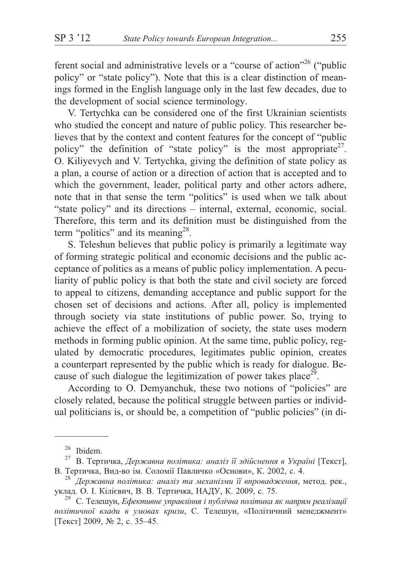ferent social and administrative levels or a "course of action"<sup>26</sup> ("public policy" or "state policy"). Note that this is a clear distinction of meanings formed in the English language only in the last few decades, due to the development of social science terminology.

V. Tertychka can be considered one of the first Ukrainian scientists who studied the concept and nature of public policy. This researcher believes that by the context and content features for the concept of "public" policy" the definition of "state policy" is the most appropriate<sup>27</sup>. O. Kiliyevych and V. Tertychka, giving the definition of state policy as a plan, a course of action or a direction of action that is accepted and to which the government, leader, political party and other actors adhere, note that in that sense the term "politics" is used when we talk about "state policy" and its directions – internal, external, economic, social. Therefore, this term and its definition must be distinguished from the term "politics" and its meaning<sup>28</sup>.

S. Teleshun believes that public policy is primarily a legitimate way of forming strategic political and economic decisions and the public acceptance of politics as a means of public policy implementation. A peculiarity of public policy is that both the state and civil society are forced to appeal to citizens, demanding acceptance and public support for the chosen set of decisions and actions. After all, policy is implemented through society via state institutions of public power. So, trying to achieve the effect of a mobilization of society, the state uses modern methods in forming public opinion. At the same time, public policy, regulated by democratic procedures, legitimates public opinion, creates a counterpart represented by the public which is ready for dialogue. Because of such dialogue the legitimization of power takes place<sup>29</sup>.

According to O. Demyanchuk, these two notions of "policies" are closely related, because the political struggle between parties or individual politicians is, or should be, a competition of "public policies" (in di-

<sup>&</sup>lt;sup>26</sup> Ibidem.

В. Тертичка, Державна політика: аналіз її здійснення в Україні [Текст], В. Тертичка, Вид-во ім. Соломії Павличко «Основи», К. 2002, с. 4.

<sup>&</sup>lt;sup>28</sup> Державна політика: аналіз та механізми її впровадження, метод. рек., уклад. О. І. Кілієвич, В. В. Тертичка, НАДУ, К. 2009, с. 75.

<sup>&</sup>lt;sup>29</sup> С. Телешун, Ефективне управління і публічна політика як напрям реалізації політичної влади в умовах кризи, С. Телешун, «Політичний менеджмент» [Текст] 2009, № 2, с. 35–45.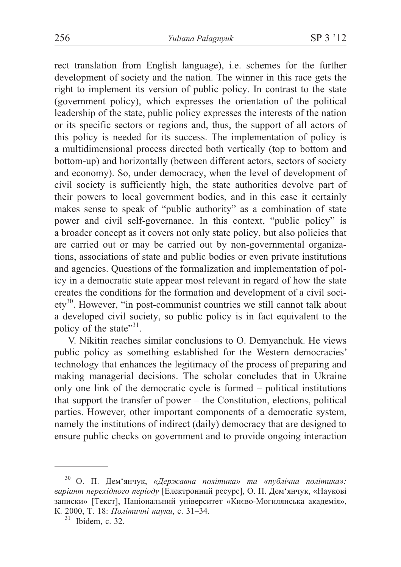rect translation from English language), i.e. schemes for the further development of society and the nation. The winner in this race gets the right to implement its version of public policy. In contrast to the state (government policy), which expresses the orientation of the political leadership of the state, public policy expresses the interests of the nation or its specific sectors or regions and, thus, the support of all actors of this policy is needed for its success. The implementation of policy is a multidimensional process directed both vertically (top to bottom and bottom-up) and horizontally (between different actors, sectors of society and economy). So, under democracy, when the level of development of civil society is sufficiently high, the state authorities devolve part of their powers to local government bodies, and in this case it certainly makes sense to speak of "public authority" as a combination of state power and civil self-governance. In this context, "public policy" is a broader concept as it covers not only state policy, but also policies that are carried out or may be carried out by non-governmental organizations, associations of state and public bodies or even private institutions and agencies. Questions of the formalization and implementation of policy in a democratic state appear most relevant in regard of how the state creates the conditions for the formation and development of a civil society<sup>30</sup>. However, "in post-communist countries we still cannot talk about a developed civil society, so public policy is in fact equivalent to the policy of the state"<sup>31</sup>.

V. Nikitin reaches similar conclusions to O. Demyanchuk. He views public policy as something established for the Western democracies' technology that enhances the legitimacy of the process of preparing and making managerial decisions. The scholar concludes that in Ukraine only one link of the democratic cycle is formed – political institutions that support the transfer of power – the Constitution, elections, political parties. However, other important components of a democratic system, namely the institutions of indirect (daily) democracy that are designed to ensure public checks on government and to provide ongoing interaction

О. П. Дем'янчук, «Державна політика» та «публічна політика»: варіант перехідного періоду [Електронний ресурс], О. П. Дем'янчук, «Наукові записки» [Текст], Національний університет «Києво-Могилянська академія», К. 2000, Т. 18: Політичні науки, с. 31-34.

 $31$  Ibidem, c. 32.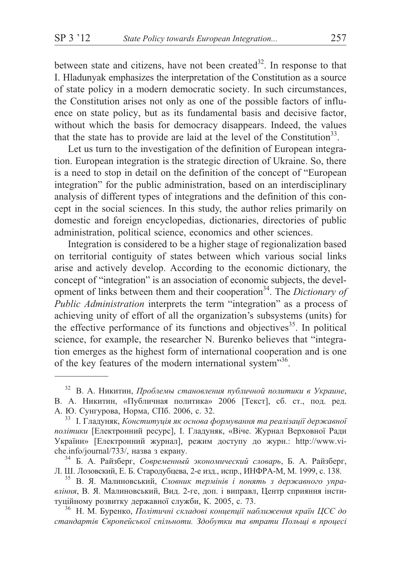between state and citizens, have not been created<sup>32</sup>. In response to that I. Hladunyak emphasizes the interpretation of the Constitution as a source of state policy in a modern democratic society. In such circumstances, the Constitution arises not only as one of the possible factors of influence on state policy, but as its fundamental basis and decisive factor, without which the basis for democracy disappears. Indeed, the values that the state has to provide are laid at the level of the Constitution<sup>33</sup>.

Let us turn to the investigation of the definition of European integration. European integration is the strategic direction of Ukraine. So, there is a need to stop in detail on the definition of the concept of "European integration" for the public administration, based on an interdisciplinary analysis of different types of integrations and the definition of this concept in the social sciences. In this study, the author relies primarily on domestic and foreign encyclopedias, dictionaries, directories of public administration, political science, economics and other sciences.

Integration is considered to be a higher stage of regionalization based on territorial contiguity of states between which various social links arise and actively develop. According to the economic dictionary, the concept of "integration" is an association of economic subjects, the development of links between them and their cooperation<sup>34</sup>. The *Dictionary of Public Administration* interprets the term "integration" as a process of achieving unity of effort of all the organization's subsystems (units) for the effective performance of its functions and objectives<sup>35</sup>. In political science, for example, the researcher N. Burenko believes that "integration emerges as the highest form of international cooperation and is one of the key features of the modern international system"36.

 $32$  В. А. Никитин, *Проблемы становления публичной политики в Украине*, В. А. Никитин, «Публичная политика» 2006 [Текст], сб. ст., под. ред. А. Ю. Сунгурова, Норма, СПб. 2006, с. 32. <sup>33</sup> І. Гладуняк, *Конституція як основа формування та реалізації державної* 

політики [Електронний ресурс], І. Гладуняк, «Віче. Журнал Верховної Ради України» [Електронний журнал], режим доступу до журн.: http://www.viche.info/journal/733/, назва з екрану.<br><sup>34</sup> Б. А. Райзберг, *Современный экономический словарь*, Б. А. Райзберг,

Л. Ш. Лозовский, Е. Б. Стародубцева, 2-е изд., испр., ИНФРА-М, М. 1999, с. 138. <sup>35</sup> В. Я. Малиновський, *Словник термінів і понять з державного упра*-

*вління*, В. Я. Малиновський, Вид. 2-ге, доп. і виправл, Центр сприяння інституційному розвитку державної служби, К. 2005, с. 73. <sup>36</sup> Н. М. Буренко, *Політичні складові концепції наближення країн ЦСЄ до* 

стандартів Європейської спільноти. Здобутки та втрати Польщі в процесі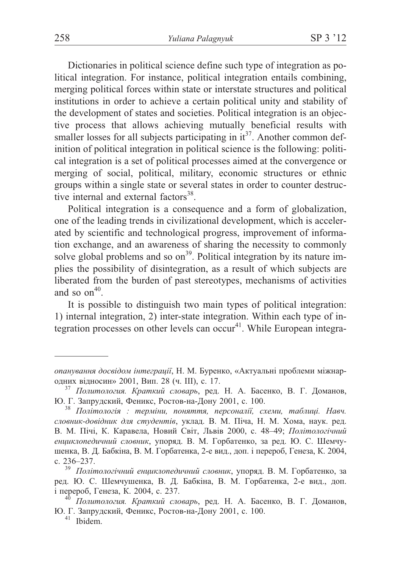Dictionaries in political science define such type of integration as political integration. For instance, political integration entails combining, merging political forces within state or interstate structures and political institutions in order to achieve a certain political unity and stability of the development of states and societies. Political integration is an objective process that allows achieving mutually beneficial results with smaller losses for all subjects participating in  $it^{37}$ . Another common definition of political integration in political science is the following: political integration is a set of political processes aimed at the convergence or merging of social, political, military, economic structures or ethnic groups within a single state or several states in order to counter destructive internal and external factors<sup>38</sup>.

Political integration is a consequence and a form of globalization, one of the leading trends in civilizational development, which is accelerated by scientific and technological progress, improvement of information exchange, and an awareness of sharing the necessity to commonly solve global problems and so  $on<sup>39</sup>$ . Political integration by its nature implies the possibility of disintegration, as a result of which subjects are liberated from the burden of past stereotypes, mechanisms of activities and so  $\text{on}^{40}$ .

It is possible to distinguish two main types of political integration: 1) internal integration, 2) inter-state integration. Within each type of integration processes on other levels can occur<sup>41</sup>. While European integra-

*опанування досвідом інтеграції*; Н. М. Буренко, «Актуальні проблеми міжнар-<br>одних відносин» 2001, Вип. 28 (ч. III), с. 17.

<sup>&</sup>lt;sup>37</sup> Политология. Краткий словарь, ред. Н. А. Басенко, В. Г. Доманов, Ю. Г. Запрудский, Феникс, Ростов-на-Дону 2001, с. 100. <sup>38</sup> *Політологія : терміни, поняття, персоналії, схеми, таблиці. Навч.* 

словник-довідник для студентів, уклад. В. М. Піча, Н. М. Хома, наук. ред. В. М. Пічі, К. Каравела, Новий Світ, Львів 2000, с. 48–49; *Політологічний* енциклопедичний словник, упоряд. В. М. Горбатенко, за ред. Ю. С. Шемчушенка, В. Д. Бабкіна, В. М. Горбатенка, 2-е вид., доп. і перероб, Генеза, К. 2004, с. 236–237.<br><sup>39</sup> *Політологічний енциклопедичний словник*, упоряд. В. М. Горбатенко, за

ред. Ю. С. Шемчушенка, В. Д. Бабкіна, В. М. Горбатенка, 2-е вид., доп. і перероб, Генеза, К. 2004, с. 237. <sup>40</sup> *Политология. Краткий словарь*, ред. Н. А. Басенко, В. Г. Доманов,

Ю. Г. Запрудский, Феникс, Ростов-на-Дону 2001, с. 100. 41 Ibidem.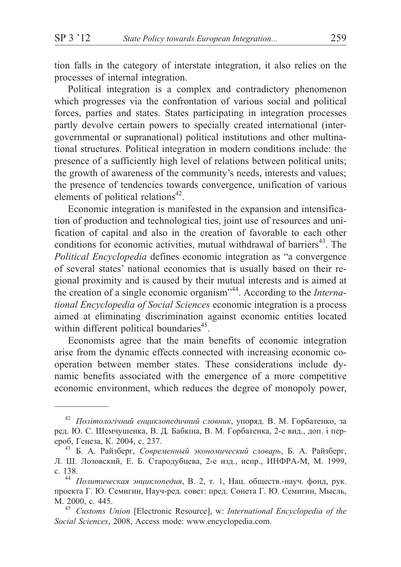tion falls in the category of interstate integration, it also relies on the processes of internal integration.

Political integration is a complex and contradictory phenomenon which progresses via the confrontation of various social and political forces, parties and states. States participating in integration processes partly devolve certain powers to specially created international (intergovernmental or supranational) political institutions and other multinational structures. Political integration in modern conditions include: the presence of a sufficiently high level of relations between political units; the growth of awareness of the community's needs, interests and values; the presence of tendencies towards convergence, unification of various elements of political relations $42$ .

Economic integration is manifested in the expansion and intensification of production and technological ties, joint use of resources and unification of capital and also in the creation of favorable to each other conditions for economic activities, mutual withdrawal of barriers $43$ . The *Political Encyclopedia* defines economic integration as "a convergence of several states' national economies that is usually based on their regional proximity and is caused by their mutual interests and is aimed at the creation of a single economic organism"44. According to the *International Encyclopedia of Social Sciences* economic integration is a process aimed at eliminating discrimination against economic entities located within different political boundaries<sup>45</sup>.

Economists agree that the main benefits of economic integration arise from the dynamic effects connected with increasing economic cooperation between member states. These considerations include dynamic benefits associated with the emergence of a more competitive economic environment, which reduces the degree of monopoly power,

<sup>&</sup>lt;sup>42</sup> *Політологічний енциклопедичний словник*, упоряд. В. М. Горбатенко, за ред. Ю. С. Шемчушенка, В. Д. Бабкіна, В. М. Горбатенка, 2-е вид., доп. і перероб, Генеза, К. 2004, с. 237. <sup>43</sup> Б. А. Райзберг, *Современный экономический словарь*, Б. А. Райзберг,

Л. Ш. Лозовский, Е. Б. Стародубцева, 2-е изд., испр., ИНФРА-М, М. 1999,

с. 138.<br><sup>44</sup> *Политическая энциклопедия*, В. 2, т. 1, Нац. обществ.-науч. фонд, рук. проекта Г. Ю. Семигин, Науч-ред. совет: пред. Сонета Г. Ю. Семигин, Мысль, Ì. 2000, ñ. 445. <sup>45</sup> *Customs Union* [Electronic Resource], w: *International Encyclopedia of the*

*Social Sciences*, 2008, Access mode: www.encyclopedia.com.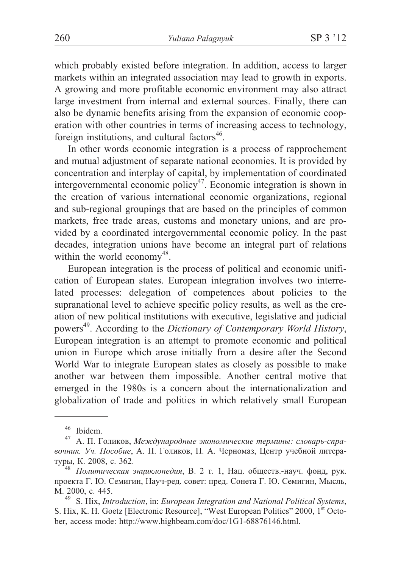which probably existed before integration. In addition, access to larger markets within an integrated association may lead to growth in exports. A growing and more profitable economic environment may also attract large investment from internal and external sources. Finally, there can also be dynamic benefits arising from the expansion of economic cooperation with other countries in terms of increasing access to technology, foreign institutions, and cultural factors $46$ .

In other words economic integration is a process of rapprochement and mutual adjustment of separate national economies. It is provided by concentration and interplay of capital, by implementation of coordinated intergovernmental economic policy47. Economic integration is shown in the creation of various international economic organizations, regional and sub-regional groupings that are based on the principles of common markets, free trade areas, customs and monetary unions, and are provided by a coordinated intergovernmental economic policy. In the past decades, integration unions have become an integral part of relations within the world economy<sup>48</sup>.

European integration is the process of political and economic unification of European states. European integration involves two interrelated processes: delegation of competences about policies to the supranational level to achieve specific policy results, as well as the creation of new political institutions with executive, legislative and judicial powers<sup>49</sup>. According to the *Dictionary of Contemporary World History*, European integration is an attempt to promote economic and political union in Europe which arose initially from a desire after the Second World War to integrate European states as closely as possible to make another war between them impossible. Another central motive that emerged in the 1980s is a concern about the internationalization and globalization of trade and politics in which relatively small European

<sup>&</sup>lt;sup>46</sup> Ibidem.<br><sup>47</sup> А. П. Голиков, *Международные экономические термины: словарь-спра*вочник. Уч. Пособие, А. П. Голиков, П. А. Черномаз, Центр учебной литературы, К. 2008, с. 362.<br><sup>48</sup> *Политическая энциклопедия*, В. 2 т. 1, Нац. обществ.-науч. фонд, рук.

проекта Г. Ю. Семигин, Науч-ред. совет: пред. Сонета Г. Ю. Семигин, Мысль, Ì. 2000, ñ. 445. <sup>49</sup> S. Hix, *Introduction*, in: *European Integration and National Political Systems*,

S. Hix, K. H. Goetz [Electronic Resource], "West European Politics" 2000, 1<sup>st</sup> October, access mode: http://www.highbeam.com/doc/1G1-68876146.html.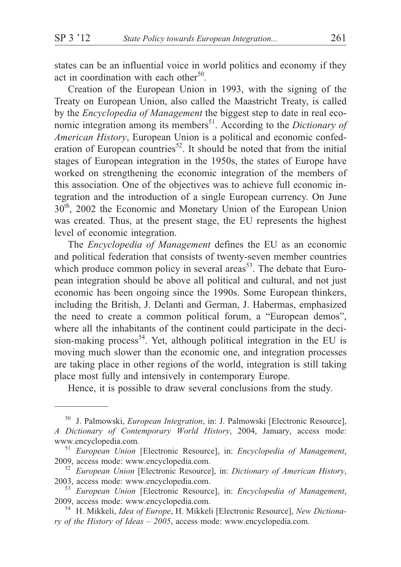states can be an influential voice in world politics and economy if they act in coordination with each other<sup>50</sup>.

Creation of the European Union in 1993, with the signing of the Treaty on European Union, also called the Maastricht Treaty, is called by the *Encyclopedia of Management* the biggest step to date in real economic integration among its members<sup>51</sup>. According to the *Dictionary of American History*, European Union is a political and economic confederation of European countries<sup>52</sup>. It should be noted that from the initial stages of European integration in the 1950s, the states of Europe have worked on strengthening the economic integration of the members of this association. One of the objectives was to achieve full economic integration and the introduction of a single European currency. On June 30<sup>th</sup>, 2002 the Economic and Monetary Union of the European Union was created. Thus, at the present stage, the EU represents the highest level of economic integration.

The *Encyclopedia of Management* defines the EU as an economic and political federation that consists of twenty-seven member countries which produce common policy in several areas<sup>53</sup>. The debate that European integration should be above all political and cultural, and not just economic has been ongoing since the 1990s. Some European thinkers, including the British, J. Delanti and German, J. Habermas, emphasized the need to create a common political forum, a "European demos", where all the inhabitants of the continent could participate in the decision-making process<sup>54</sup>. Yet, although political integration in the EU is moving much slower than the economic one, and integration processes are taking place in other regions of the world, integration is still taking place most fully and intensively in contemporary Europe.

Hence, it is possible to draw several conclusions from the study.

<sup>50</sup> J. Palmowski, *European Integration*, in: J. Palmowski [Electronic Resource], *A Dictionary of Contemporary World History*, 2004, January, access mode: www.encyclopedia.com. <sup>51</sup> *European Union* [Electronic Resource], in: *Encyclopedia of Management*,

<sup>2009,</sup> access mode: www.encyclopedia.com. <sup>52</sup> *European Union* [Electronic Resource], in: *Dictionary of American History*,

<sup>2003,</sup> access mode: www.encyclopedia.com. <sup>53</sup> *European Union* [Electronic Resource], in: *Encyclopedia of Management*,

<sup>2009,</sup> access mode: www.encyclopedia.com. <sup>54</sup> H. Mikkeli, *Idea of Europe*, H. Mikkeli [Electronic Resource], *New Dictiona-*

*ry of the History of Ideas – 2005*, access mode: www.encyclopedia.com.